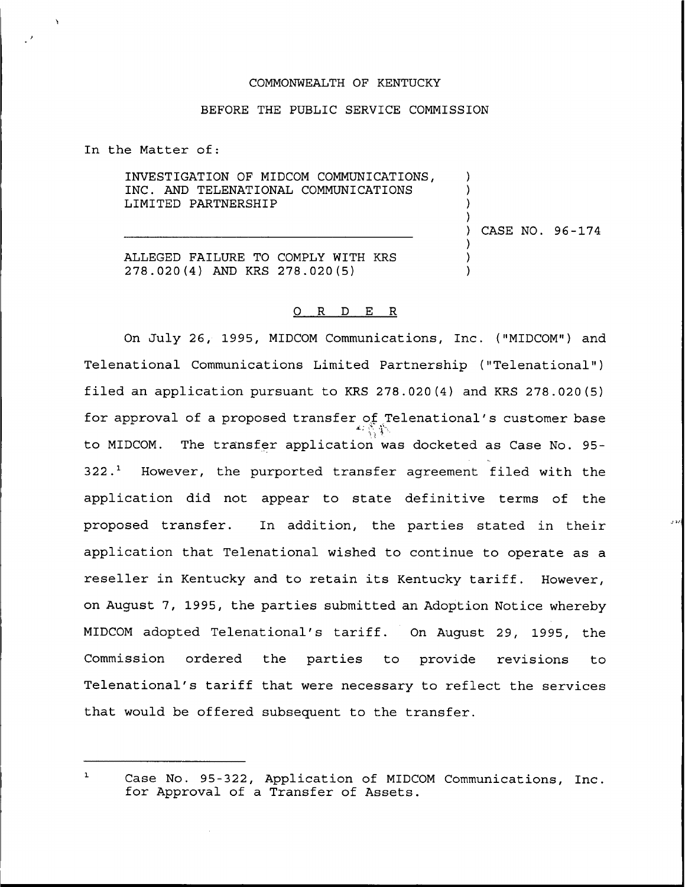## COMMONWEALTH OF KENTUCKY

## BEFORE THE PUBLIC SERVICE COMMISSION

In the Matter of:

INVESTIGATION OF MIDCOM COMMUNICATIONS, INC. AND TELENATIONAL COMMUNICATIONS LIMITED PARTNERSHIP

) CASE NO. 96-174

 $\lambda$ ) ) )

> ) ) )

ALLEGED FAILURE TO COMPLY WITH KRS 278.020 (4) AND KRS 278.020 (5)

## 0 R <sup>D</sup> E R

On July 26, 1995, MIDCOM Communications, Inc. ("MIDCOM") and Telenational Communications Limited Partnership ("Telenational") filed an application pursuant to KRS 278.020(4) and KRS 278.020(5) for approval of a proposed transfer of Telenational's customer base to MIDCOM. The transfer application was docketed as Case No. 95-  $322.^1$  However, the purported transfer agreement filed with the application did not appear to state definitive terms of the proposed transfer. In addition, the parties stated in their application that Telenational wished to continue to operate as a reseller in Kentucky and to retain its Kentucky tariff. However, on August 7, 1995, the parties submitted an Adoption Notice whereby MIDCOM adopted Telenational's tariff. On August 29, 1995, the Commission ordered the parties to provide revisions to Telenational's tariff that were necessary to reflect the services that would be offered subsequent to the transfer.

 $\mathbf{1}$ Case No. 95-322, Application of MIDCOM Communications, Inc. for Approval of <sup>a</sup> Transfer of Assets.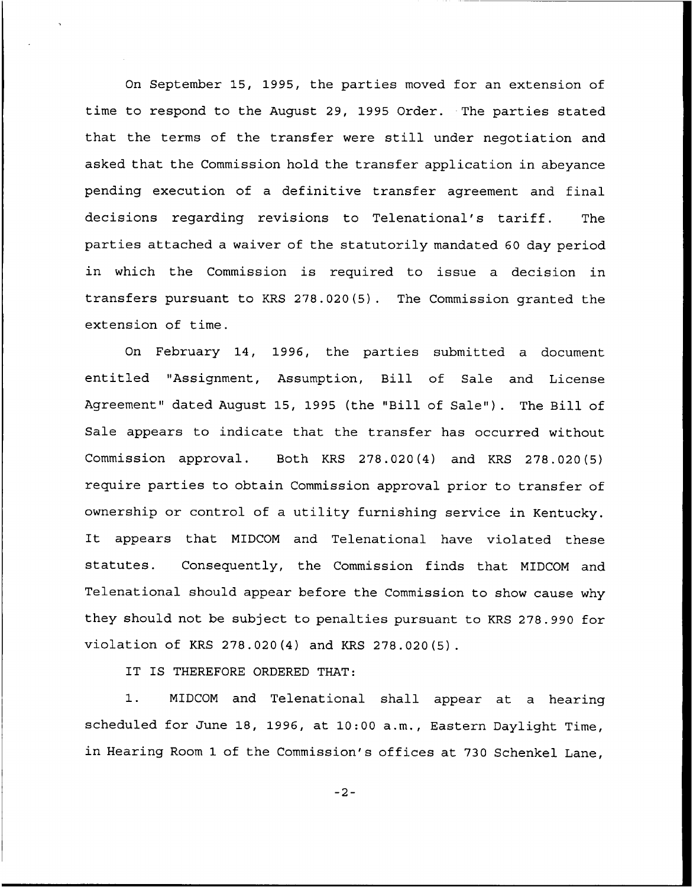On September 15, 1995, the parties moved for an extension of time to respond to the August 29, 1995 Order. The parties stated that the terms of the transfer were still under negotiation and asked that the Commission hold the transfer application in abeyance pending execution of a definitive transfer agreement and final decisions regarding revisions to Telenational's tariff. The parties attached a waiver of the statutorily mandated 60 day period in which the Commission is required to issue a decision in transfers pursuant to KRS 278.020(5). The Commission granted the extension of time.

On February 14, 1996, the parties submitted a document entitled "Assignment, Assumption, Bill of Sale and License Agreement" dated August 15, 1995 (the "Bill of Sale"). The Bill of Sale appears to indicate that the transfer has occurred without Commission approval. Both KRS 278.020(4) and KRS 278.020(5) require parties to obtain Commission approval prior to transfer of ownership or control of a utility furnishing service in Kentucky. It appears that MIDCOM and Telenational have violated these statutes. Consequently, the Commission finds that MIDCON and Telenational should appear before the Commission to show cause why they should not be subject to penalties pursuant to KRS 278.990 for violation of KRS 278.020(4) and KRS 278.020(5).

IT IS THEREFORE ORDERED THAT:

1. MIDCON and Telenational shall appear at <sup>a</sup> hearing scheduled for June 18, 1996, at 10:00 a.m., Eastern Daylight Time, in Hearing Room 1 of the Commission's offices at 730 Schenkel Lane,

 $-2-$